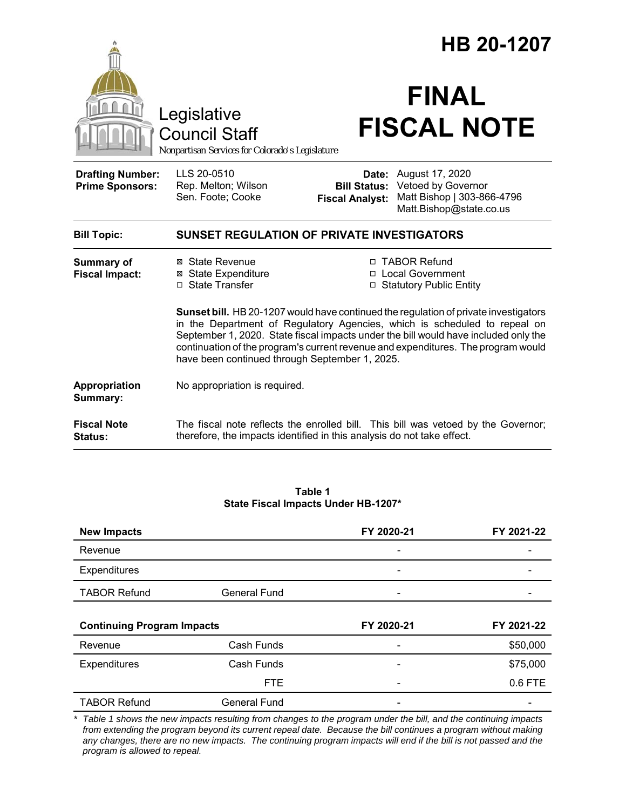|                                                   | HB 20-1207                                                                                                                                                                                                                                                                                                                                                                                      |                        |                                                                                                                                 |  |
|---------------------------------------------------|-------------------------------------------------------------------------------------------------------------------------------------------------------------------------------------------------------------------------------------------------------------------------------------------------------------------------------------------------------------------------------------------------|------------------------|---------------------------------------------------------------------------------------------------------------------------------|--|
|                                                   | Legislative<br><b>Council Staff</b><br>Nonpartisan Services for Colorado's Legislature                                                                                                                                                                                                                                                                                                          |                        | <b>FINAL</b><br><b>FISCAL NOTE</b>                                                                                              |  |
| <b>Drafting Number:</b><br><b>Prime Sponsors:</b> | LLS 20-0510<br>Rep. Melton; Wilson<br>Sen. Foote; Cooke                                                                                                                                                                                                                                                                                                                                         | <b>Fiscal Analyst:</b> | <b>Date:</b> August 17, 2020<br><b>Bill Status: Vetoed by Governor</b><br>Matt Bishop   303-866-4796<br>Matt.Bishop@state.co.us |  |
| <b>Bill Topic:</b>                                | <b>SUNSET REGULATION OF PRIVATE INVESTIGATORS</b>                                                                                                                                                                                                                                                                                                                                               |                        |                                                                                                                                 |  |
| <b>Summary of</b><br><b>Fiscal Impact:</b>        | ⊠ State Revenue<br><b>⊠</b> State Expenditure<br>□ State Transfer                                                                                                                                                                                                                                                                                                                               |                        | □ TABOR Refund<br>□ Local Government<br>□ Statutory Public Entity                                                               |  |
|                                                   | Sunset bill. HB 20-1207 would have continued the regulation of private investigators<br>in the Department of Regulatory Agencies, which is scheduled to repeal on<br>September 1, 2020. State fiscal impacts under the bill would have included only the<br>continuation of the program's current revenue and expenditures. The program would<br>have been continued through September 1, 2025. |                        |                                                                                                                                 |  |
| Appropriation<br>Summary:                         | No appropriation is required.                                                                                                                                                                                                                                                                                                                                                                   |                        |                                                                                                                                 |  |
| <b>Fiscal Note</b><br><b>Status:</b>              | therefore, the impacts identified in this analysis do not take effect.                                                                                                                                                                                                                                                                                                                          |                        | The fiscal note reflects the enrolled bill. This bill was vetoed by the Governor;                                               |  |

|                                            | Table 1 |  |
|--------------------------------------------|---------|--|
| <b>State Fiscal Impacts Under HB-1207*</b> |         |  |

| <b>New Impacts</b>                |                     | FY 2020-21 | FY 2021-22 |
|-----------------------------------|---------------------|------------|------------|
| Revenue                           |                     |            |            |
| Expenditures                      |                     |            |            |
| <b>TABOR Refund</b>               | <b>General Fund</b> |            |            |
|                                   |                     |            |            |
|                                   |                     |            |            |
| <b>Continuing Program Impacts</b> |                     | FY 2020-21 | FY 2021-22 |
| Revenue                           | Cash Funds          |            | \$50,000   |
| Expenditures                      | Cash Funds          |            | \$75,000   |
|                                   | <b>FTE</b>          |            | 0.6 FTE    |

*\* Table 1 shows the new impacts resulting from changes to the program under the bill, and the continuing impacts from extending the program beyond its current repeal date. Because the bill continues a program without making any changes, there are no new impacts. The continuing program impacts will end if the bill is not passed and the program is allowed to repeal.*